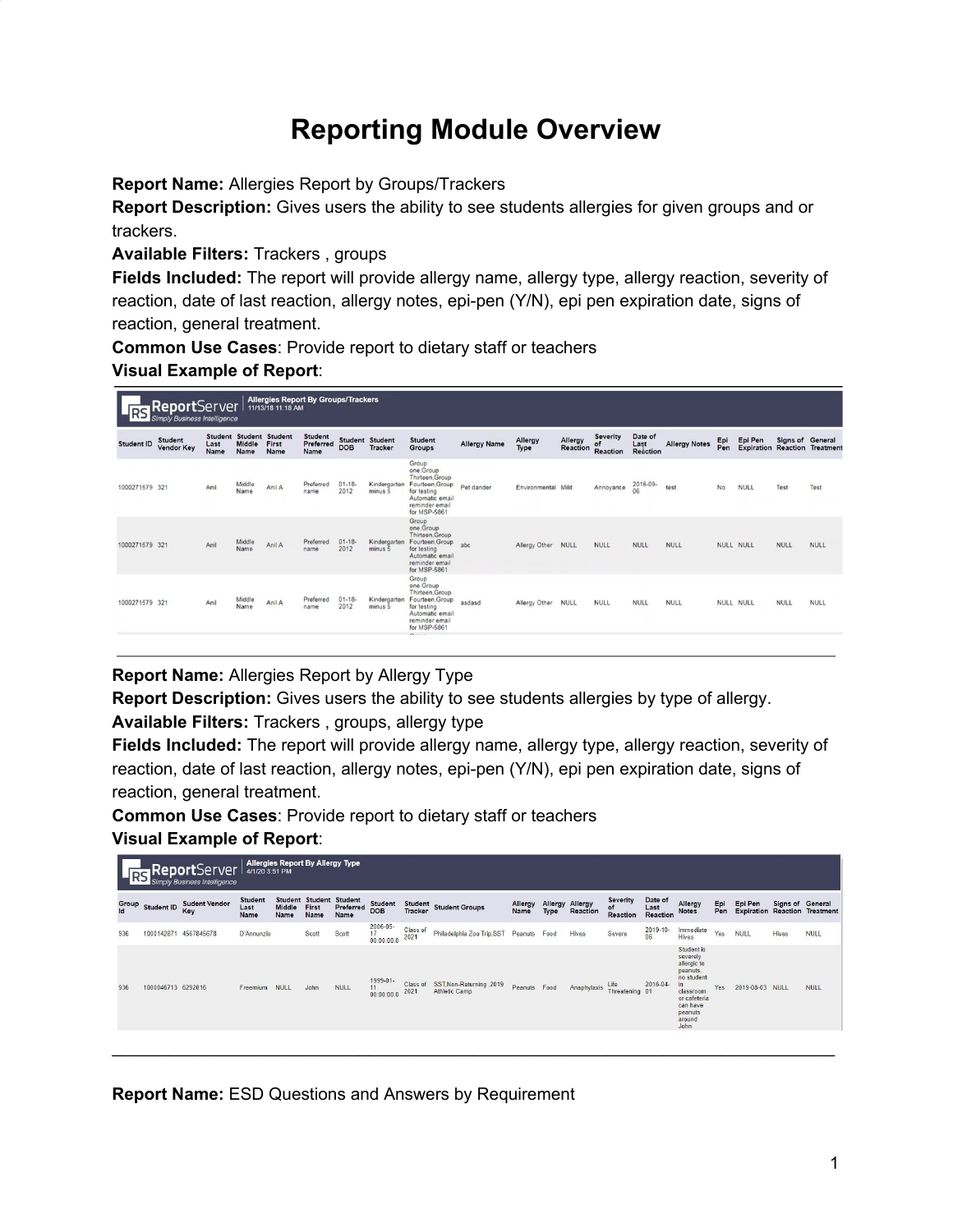# **Reporting Module Overview**

**Report Name:** Allergies Report by Groups/Trackers

**Report Description:** Gives users the ability to see students allergies for given groups and or trackers.

**Available Filters:** Trackers , groups

**Fields Included:** The report will provide allergy name, allergy type, allergy reaction, severity of reaction, date of last reaction, allergy notes, epi-pen (Y/N), epi pen expiration date, signs of reaction, general treatment.

**Common Use Cases**: Provide report to dietary staff or teachers

**Visual Example of Report**:

|                   | <b>Allergies Report By Groups/Trackers</b><br>RS ReportServer<br>11/13/18 11:18 AM<br><b>Simply Business Intelligence</b> |                                |                       |                                         |                              |                   |                                          |                                                                                                                                                 |                     |                    |                     |                            |                                    |                      |            |                              |             |                                               |
|-------------------|---------------------------------------------------------------------------------------------------------------------------|--------------------------------|-----------------------|-----------------------------------------|------------------------------|-------------------|------------------------------------------|-------------------------------------------------------------------------------------------------------------------------------------------------|---------------------|--------------------|---------------------|----------------------------|------------------------------------|----------------------|------------|------------------------------|-------------|-----------------------------------------------|
| <b>Student ID</b> | <b>Student</b><br><b>Vendor Key</b>                                                                                       | <b>Student</b><br>Last<br>Name | <b>Middle</b><br>Name | <b>Student Student</b><br>First<br>Name | Student<br>Preferred<br>Name | <b>DOB</b>        | <b>Student Student</b><br><b>Tracker</b> | Student<br>Groups                                                                                                                               | <b>Allergy Name</b> | Allergy<br>Type    | Allergy<br>Reaction | Severity<br>of<br>Reaction | Date of<br>Last<br><b>Reaction</b> | <b>Allergy Notes</b> | Epi<br>Pen | Epi Pen<br><b>Expiration</b> |             | Signs of General<br><b>Reaction Treatment</b> |
| 1000271579 321    |                                                                                                                           | Anil                           | Middle<br>Name        | Anil A                                  | Preferred<br>name            | $01 - 18$<br>2012 | Kindergarten<br>minus 5                  | Group<br>one Group<br>Thirteen Group<br>Fourteen, Group<br>for testing<br>Automatic email<br>reminder email<br>for MSP-5861                     | Pet dander          | Environmental Mild |                     | Annoyance                  | 2016-09-                           | test                 | No         | <b>NULL</b>                  | Test        | Test                                          |
| 1000271579 321    |                                                                                                                           | Anil                           | Middle<br>Name        | Anil A                                  | Preferred<br>name            | $01 - 18$<br>2012 | Kindergarten<br>minus 5                  | Group<br>one Group<br>Thirteen Group<br>Fourteen, Group<br>for testing<br>Automatic email<br>reminder email<br>for MSP-5861                     | abc                 | Allergy Other      | NULL                | <b>NULL</b>                | <b>NULL</b>                        | NULL                 |            | NULL NULL                    | <b>NULL</b> | NULL                                          |
| 1000271579 321    |                                                                                                                           | Anil                           | Middle<br>Name        | Anil A                                  | Preferred<br>name            | $01 - 18$<br>2012 | Kindergarten<br>minus 5                  | Group<br>one.Group<br>Thirteen.Group<br>Fourteen, Group<br>for testing<br>Automatic email<br>reminder email<br>for MSP-5861<br>$P_{\text{max}}$ | asdasd              | Allergy Other      | <b>NULL</b>         | <b>NULL</b>                | NULL                               | NULL                 |            | NULL NULL                    | NULL        | NULL                                          |

**Report Name:** Allergies Report by Allergy Type

**Report Description:** Gives users the ability to see students allergies by type of allergy.

**Available Filters:** Trackers , groups, allergy type

**Fields Included:** The report will provide allergy name, allergy type, allergy reaction, severity of reaction, date of last reaction, allergy notes, epi-pen (Y/N), epi pen expiration date, signs of reaction, general treatment.

**Common Use Cases**: Provide report to dietary staff or teachers

**Visual Example of Report**:

|             |                    | <b>RS Report</b> Server     | Allergies Report By Allergy Type<br>4/1/20 3:51 PM |                       |                                         |                                     |                                           |                  |                                            |                 |             |                             |                                   |                             |                                                                                                                                       |            |                 |                         |                                      |
|-------------|--------------------|-----------------------------|----------------------------------------------------|-----------------------|-----------------------------------------|-------------------------------------|-------------------------------------------|------------------|--------------------------------------------|-----------------|-------------|-----------------------------|-----------------------------------|-----------------------------|---------------------------------------------------------------------------------------------------------------------------------------|------------|-----------------|-------------------------|--------------------------------------|
| Group<br>Id | Student ID         | <b>Sudent Vendor</b><br>Key | <b>Student</b><br>Last<br>Name                     | <b>Middle</b><br>Name | <b>Student Student</b><br>First<br>Name | <b>Student</b><br>Preferred<br>Name | <b>Student</b><br><b>DOB</b>              |                  | Student<br>Tracker Student Groups          | Allergy<br>Name | <b>Type</b> | Allergy Allergy<br>Reaction | <b>Severity</b><br>of<br>Reaction | Date of<br>Last<br>Reaction | Allergy<br><b>Notes</b>                                                                                                               | Epi<br>Pen | Epi Pen         | <b>Signs of General</b> | <b>Expiration Reaction Treatment</b> |
| 936         |                    | 1000142871 4567845678       | D'Annunzio                                         |                       | Scott                                   | Scott                               | 2006-05-<br>17 <sup>2</sup><br>00:00:00.0 | Class of<br>2021 | Philadelphia Zoo Trip, SST Peanuts Food    |                 |             | Hives                       | Severe                            | $2019 - 10 -$<br>06         | Immediate<br>Hives                                                                                                                    | Yes        | <b>NULL</b>     | 669.131<br>Hives        | <b>NULL</b>                          |
| 936         | 1000046713 6292016 |                             | Freemium                                           | <b>NULL</b>           | John                                    | <b>NULL</b>                         | 1999-01-<br>11<br>00:00:00.0              | Class of<br>2021 | SST, Non-Returning , 2019<br>Athletic Camp | Peanuts Food    |             | Anaphylaxis                 | Life<br>Threatening 01            | 2016-04-                    | Student is<br>severely<br>allergic to<br>peanuts,<br>no student<br>classroom<br>or cafeteria<br>can have<br>peanuts<br>around<br>John | Yes        | 2019-08-03 NULL |                         | <b>NULL</b>                          |
|             |                    |                             |                                                    |                       |                                         |                                     |                                           |                  |                                            |                 |             |                             |                                   |                             |                                                                                                                                       |            |                 |                         |                                      |

**Report Name:** ESD Questions and Answers by Requirement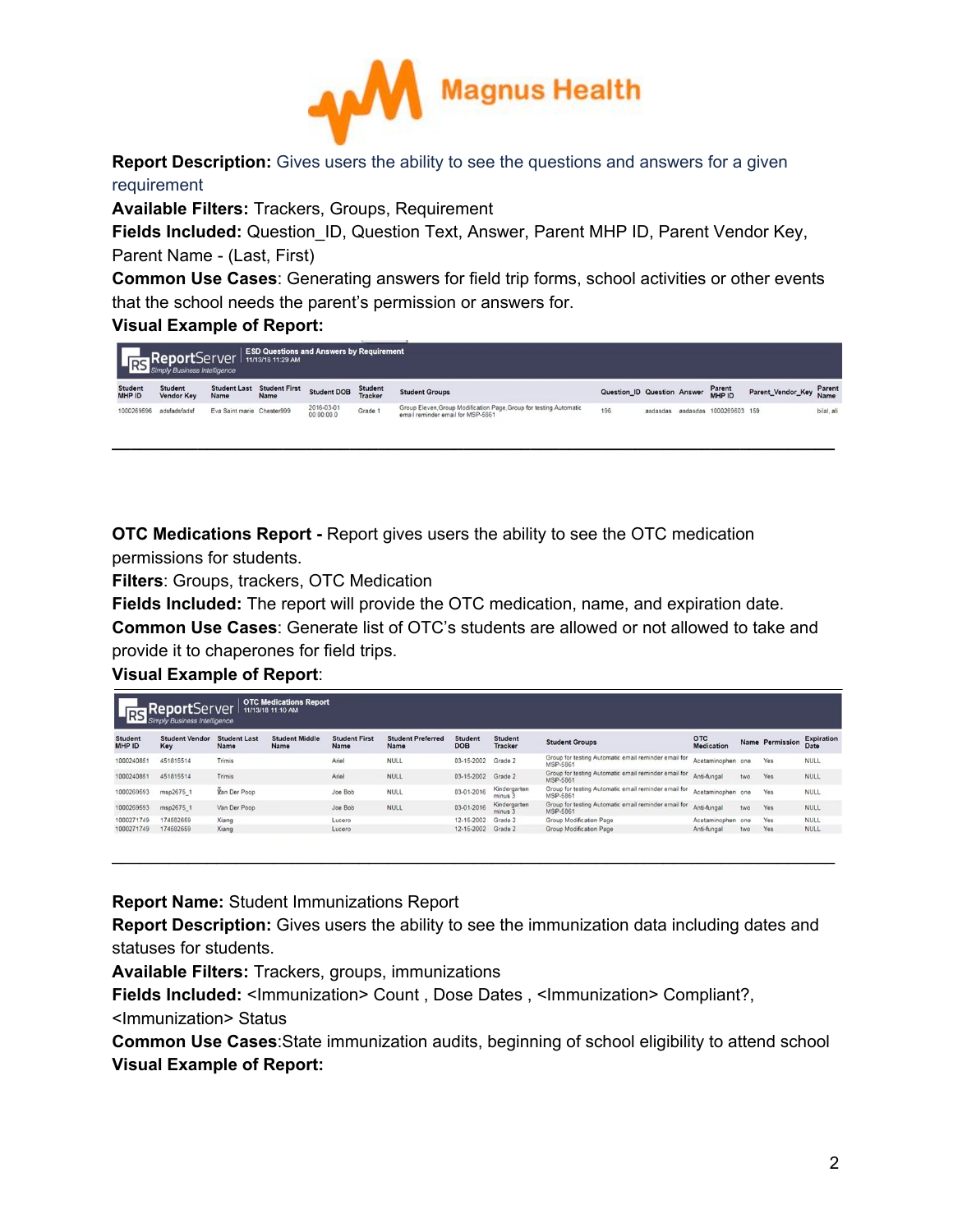

**Report Description:** Gives users the ability to see the questions and answers for a given requirement

**Available Filters:** Trackers, Groups, Requirement

**Fields Included:** Question\_ID, Question Text, Answer, Parent MHP ID, Parent Vendor Key, Parent Name - (Last, First)

**Common Use Cases**: Generating answers for field trip forms, school activities or other events that the school needs the parent's permission or answers for.

## **Visual Example of Report:**

|                          | <b>Report</b> Server   ESD Questions at Report Server   11/13/18 11:29 AM |                             |                              | <b>ESD Questions and Answers by Requirement</b> |                           |                                                                                                         |                             |          |                         |                          |            |
|--------------------------|---------------------------------------------------------------------------|-----------------------------|------------------------------|-------------------------------------------------|---------------------------|---------------------------------------------------------------------------------------------------------|-----------------------------|----------|-------------------------|--------------------------|------------|
| <b>Student</b><br>MHP ID | Student<br><b>Vendor Key</b>                                              | <b>Student Last</b><br>Name | <b>Student First</b><br>Name | <b>Student DOB</b>                              | <b>Student</b><br>Tracker | <b>Student Groups</b>                                                                                   | Question_ID Question Answer |          | Parent<br>MHP ID        | Parent_Vendor_Key Parent |            |
| 1000269596               | adsfadsfadsf                                                              | Eva Saint marie Chester999  |                              | 2016-03-01<br>00:00:00.0                        | Grade 1                   | Group Eleven, Group Modification Page, Group for testing Automatic<br>email reminder email for MSP-5861 | 196                         | asdasdas | asdasdas 1000269603 159 |                          | bilal, ali |

**OTC Medications Report -** Report gives users the ability to see the OTC medication permissions for students.

**Filters**: Groups, trackers, OTC Medication

**Fields Included:** The report will provide the OTC medication, name, and expiration date.

**Common Use Cases**: Generate list of OTC's students are allowed or not allowed to take and provide it to chaperones for field trips.

**Visual Example of Report**:

| <b>RS</b>                | ReportServer<br><b>Simply Business Intelligence</b> |                             | <b>OTC Medications Report</b><br>11/13/18 11:10 AM |                              |                                  |                              |                                  |                                                                  |                          |     |                        |                                  |
|--------------------------|-----------------------------------------------------|-----------------------------|----------------------------------------------------|------------------------------|----------------------------------|------------------------------|----------------------------------|------------------------------------------------------------------|--------------------------|-----|------------------------|----------------------------------|
| <b>Student</b><br>MHP ID | <b>Student Vendor</b><br>Key                        | <b>Student Last</b><br>Name | <b>Student Middle</b><br>Name                      | <b>Student First</b><br>Name | <b>Student Preferred</b><br>Name | <b>Student</b><br><b>DOB</b> | <b>Student</b><br><b>Tracker</b> | <b>Student Groups</b>                                            | <b>OTC</b><br>Medication |     | <b>Name Permission</b> | <b>Expiration</b><br><b>Date</b> |
| 1000240851               | 451815514                                           | Trimis                      |                                                    | Ariel                        | NULL                             | 03-15-2002                   | Grade 2                          | Group for testing Automatic email reminder email for<br>MSP-5861 | Acetaminophen one        |     | Yes                    | <b>NULL</b>                      |
| 1000240851               | 451815514                                           | Trimis                      |                                                    | Ariel                        | <b>NULL</b>                      | 03-15-2002                   | Grade 2                          | Group for testing Automatic email reminder email for<br>MSP-5861 | Anti-fungal              | two | Yes                    | <b>NULL</b>                      |
| 1000269593               | msp2675 1                                           | Van Der Poop                |                                                    | Joe Bob                      | NULL                             | 03-01-2016                   | Kindergarten<br>minus 3          | Group for testing Automatic email reminder email for<br>MSP-5861 | Acetaminophen one        |     | Yes                    | <b>NULL</b>                      |
| 1000269593               | msp2675 1                                           | Van Der Poop                |                                                    | Joe Bob                      | <b>NULL</b>                      | 03-01-2016                   | Kindergarten<br>minus 3          | Group for testing Automatic email reminder email for<br>MSP-5861 | Anti-fungal              | two | Yes                    | <b>NULL</b>                      |
| 1000271749               | 174582659                                           | Xiang                       |                                                    | Lucero                       |                                  | 12-15-2002                   | Grade 2                          | Group Modification Page                                          | Acetaminophen one        |     | Yes                    | <b>NULL</b>                      |
| 1000271749               | 174582659                                           | Xiang                       |                                                    | Lucero                       |                                  | 12-15-2002                   | Grade 2                          | Group Modification Page                                          | Anti-fungal              | two | Yes                    | <b>NULL</b>                      |
|                          |                                                     |                             |                                                    |                              |                                  |                              |                                  |                                                                  |                          |     |                        |                                  |

**Report Name:** Student Immunizations Report

**Report Description:** Gives users the ability to see the immunization data including dates and statuses for students.

**Available Filters:** Trackers, groups, immunizations

**Fields Included:** <Immunization> Count , Dose Dates , <Immunization> Compliant?,

<Immunization> Status

**Common Use Cases**:State immunization audits, beginning of school eligibility to attend school **Visual Example of Report:**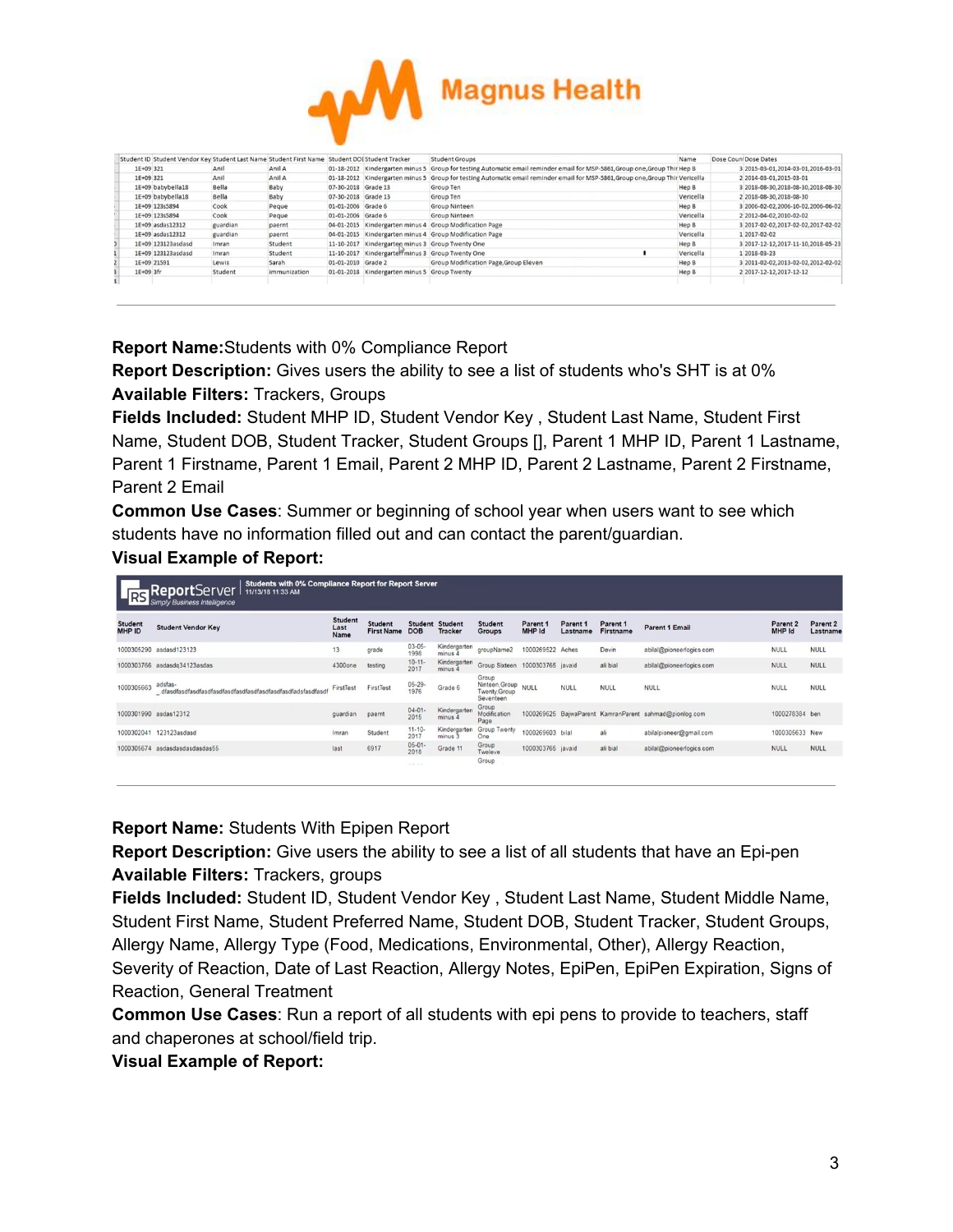

| Student ID Student Vendor Key Student Last Name Student First Name Student DOEStudent Tracker |          |              |                     |                                                  | <b>Student Groups</b>                                                                        | Name      | Dose Count Dose Dates                |
|-----------------------------------------------------------------------------------------------|----------|--------------|---------------------|--------------------------------------------------|----------------------------------------------------------------------------------------------|-----------|--------------------------------------|
| 1E+09 321                                                                                     | Anil     | Anil A       |                     | 01-18-2012 Kindergarten minus 5                  | Group for testing Automatic email reminder email for MSP-5861, Group one, Group Thir Hep B   |           | 3 2015-03-01, 2014-03-01, 2016-03-01 |
| 1E+09 321                                                                                     | Anil     | Anil A       |                     | 01-18-2012 Kindergarten minus 5                  | Group for testing Automatic email reminder email for MSP-5861.Group one,Group Thir Vericella |           | 2 2014-03-01, 2015-03-01             |
| 1E+09 babybella18                                                                             | Bella    | Baby         | 07-30-2018 Grade 13 |                                                  | Group Ten                                                                                    | Hep B     | 3 2018-08-30, 2018-08-30, 2018-08-30 |
| 1E+09 babybella18                                                                             | Bella    | Baby         | 07-30-2018 Grade 13 |                                                  | Group Ten                                                                                    | Vericella | 2 2018-08-30, 2018-08-30             |
| 1E+09 123s5894                                                                                | Cook     | Peque        | 01-01-2006 Grade 6  |                                                  | Group Ninteen                                                                                | Hep B     | 3 2006-02-02.2006-10-02.2006-06-02   |
| 1E+09 123s5894                                                                                | Cook     | Peque        | 01-01-2006 Grade 6  |                                                  | <b>Group Ninteen</b>                                                                         | Vericella | 2 2012-04-02.2010-02-02              |
| 1E+09 asdas12312                                                                              | guardian | paernt       |                     |                                                  | 04-01-2015 Kindergarten minus 4 Group Modification Page                                      | Hep B     | 3 2017-02-02, 2017-02-02, 2017-02-02 |
| 1E+09 asdas12312                                                                              | guardian | paernt       |                     |                                                  | 04-01-2015 Kindergarten minus 4 Group Modification Page                                      | Vericella | 1 2017-02-02                         |
| 1E+09 123123asdasd                                                                            | Imran    | Student      |                     | 11-10-2017 Kindergarten minus 3 Group Twenty One |                                                                                              | Hep B     | 3 2017-12-12, 2017-11-10, 2018-05-23 |
| 1E+09 123123asdasd                                                                            | Imran    | Student      |                     | 11-10-2017 Kindergarte minus 3 Group Twenty One  |                                                                                              | Vericella | 1 2018-03-23                         |
| 1E+09 21591                                                                                   | Lewis    | Sarah        | 01-01-2010 Grade 2  |                                                  | Group Modification Page, Group Eleven                                                        | Hep B     | 3 2011-02-02, 2013-02-02, 2012-02-02 |
| 1E+09 3fr                                                                                     | Student  | immunization |                     | 01-01-2018 Kindergarten minus 5 Group Twenty     |                                                                                              | Hep B     | 2 2017-12-12, 2017-12-12             |
|                                                                                               |          |              |                     |                                                  |                                                                                              |           |                                      |

**Report Name:**Students with 0% Compliance Report

**Report Description:** Gives users the ability to see a list of students who's SHT is at 0% **Available Filters:** Trackers, Groups

**Fields Included:** Student MHP ID, Student Vendor Key , Student Last Name, Student First Name, Student DOB, Student Tracker, Student Groups [], Parent 1 MHP ID, Parent 1 Lastname, Parent 1 Firstname, Parent 1 Email, Parent 2 MHP ID, Parent 2 Lastname, Parent 2 Firstname, Parent 2 Email

**Common Use Cases**: Summer or beginning of school year when users want to see which students have no information filled out and can contact the parent/guardian.

## **Visual Example of Report:**

| <b>RS</b>                | Students with 0% Compliance Report for Report Server<br><b>Report</b> Server<br>11/13/18 11:33 AM<br><b>Simply Business Intelligence</b> |                                |                                     |                                                |                           |                                                           |                    |                      |                       |                                                        |                               |                                 |  |  |
|--------------------------|------------------------------------------------------------------------------------------------------------------------------------------|--------------------------------|-------------------------------------|------------------------------------------------|---------------------------|-----------------------------------------------------------|--------------------|----------------------|-----------------------|--------------------------------------------------------|-------------------------------|---------------------------------|--|--|
| <b>Student</b><br>MHP ID | <b>Student Vendor Key</b>                                                                                                                | <b>Student</b><br>Last<br>Name | <b>Student</b><br><b>First Name</b> | <b>Student</b><br><b>DOB</b>                   | Student<br><b>Tracker</b> | <b>Student</b><br><b>Groups</b>                           | Parent 1<br>MHP Id | Parent 1<br>Lastname | Parent 1<br>Firstname | <b>Parent 1 Email</b>                                  | Parent <sub>2</sub><br>MHP Id | Parent <sub>2</sub><br>Lastname |  |  |
|                          | 1000305290 asdasd123123                                                                                                                  | 13                             | grade                               | $03 - 05 -$<br>1998                            | Kindergarten<br>minus 4   | groupName2                                                | 1000269522 Aches   |                      | Devin                 | abilal@pioneerlogics.com                               | <b>NULL</b>                   | <b>NULL</b>                     |  |  |
|                          | 1000303766 asdasdq34123asdas                                                                                                             | 4300one                        | testing                             | $10 - 11 -$<br>2017                            | Kindergarten<br>minus 4   | Group Sixteen 1000303765 javaid                           |                    |                      | ali bial              | abilal@pioneerlogics.com                               | <b>NULL</b>                   | <b>NULL</b>                     |  |  |
| 1000305663               | adsfas-                                                                                                                                  | FirstTest                      | FirstTest                           | 05-29-<br>1976                                 | Grade 6                   | Group<br>Ninteen, Group NULL<br>Twenty Group<br>Seventeen |                    | <b>NULL</b>          | <b>NULL</b>           | <b>NULL</b>                                            | <b>NULL</b>                   | <b>NULL</b>                     |  |  |
|                          | 1000301990 asdas12312                                                                                                                    | quardian                       | paernt                              | $04 - 01 -$<br>2015                            | Kindergarten<br>minus 4   | Group<br>Modification<br>Page                             |                    |                      |                       | 1000269625 BaiwaParent KamranParent sahmad@pionlog.com | 1000278384 ben                |                                 |  |  |
|                          | 1000302041 123123asdasd                                                                                                                  | Imran                          | Student                             | $11 - 10 -$<br>2017                            | Kindergarten<br>minus 3   | Group Twenty<br>One                                       | 1000269603 bilal   |                      | ali                   | abilalpioneer@gmail.com                                | 1000305633 New                |                                 |  |  |
|                          | 1000305674 asdasdasdasdasdas55                                                                                                           | last                           | 6917                                | $05 - 01 -$<br>2018                            | Grade 11                  | Group<br>Tweleve                                          | 1000303765 javaid  |                      | ali bial              | abilal@pioneerlogics.com                               | <b>NULL</b>                   | <b>NULL</b>                     |  |  |
|                          |                                                                                                                                          |                                |                                     | $\mathcal{L} = \mathcal{L} \times \mathcal{L}$ |                           | Group                                                     |                    |                      |                       |                                                        |                               |                                 |  |  |

**Report Name:** Students With Epipen Report

**Report Description:** Give users the ability to see a list of all students that have an Epi-pen **Available Filters:** Trackers, groups

**Fields Included:** Student ID, Student Vendor Key , Student Last Name, Student Middle Name, Student First Name, Student Preferred Name, Student DOB, Student Tracker, Student Groups, Allergy Name, Allergy Type (Food, Medications, Environmental, Other), Allergy Reaction, Severity of Reaction, Date of Last Reaction, Allergy Notes, EpiPen, EpiPen Expiration, Signs of Reaction, General Treatment

**Common Use Cases**: Run a report of all students with epi pens to provide to teachers, staff and chaperones at school/field trip.

**Visual Example of Report:**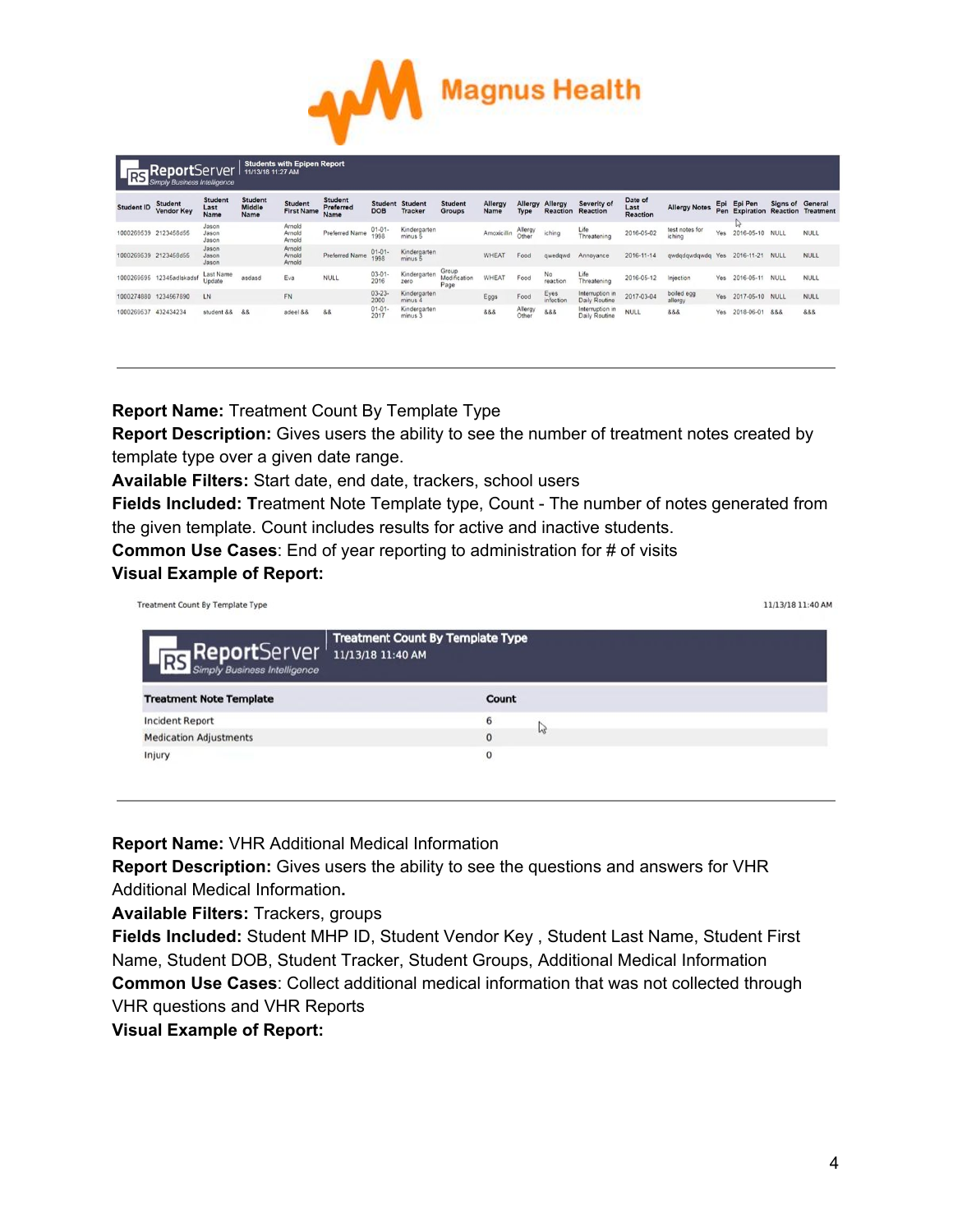

|                   | <b>Students with Epipen Report</b><br>ReportServer<br>11/13/18 11:27 AM<br>RS Simply Business Intelligence |                                |                                  |                              |                                     |                     |                                          |                                 |                     |                  |                   |                                         |                                    |                          |     |                           |          |                                      |
|-------------------|------------------------------------------------------------------------------------------------------------|--------------------------------|----------------------------------|------------------------------|-------------------------------------|---------------------|------------------------------------------|---------------------------------|---------------------|------------------|-------------------|-----------------------------------------|------------------------------------|--------------------------|-----|---------------------------|----------|--------------------------------------|
| <b>Student ID</b> | <b>Student</b><br><b>Vendor Key</b>                                                                        | <b>Student</b><br>Last<br>Name | <b>Student</b><br>Middle<br>Name | Student<br><b>First Name</b> | <b>Student</b><br>Preferred<br>Name | <b>DOB</b>          | <b>Student Student</b><br><b>Tracker</b> | <b>Student</b><br><b>Groups</b> | Allergy<br>Name     | Allergy<br>Type  | Allergy           | Severity of<br><b>Reaction Reaction</b> | Date of<br>Last<br><b>Reaction</b> | <b>Allergy Notes</b>     | Epi | Epi Pen<br>Pen Expiration | Signs of | General<br><b>Reaction Treatment</b> |
|                   | 1000269539 2123458d55                                                                                      | Jason<br>Jason<br>Jason        |                                  | Arnold<br>Arnold<br>Arnold   | Preferred Name                      | $01 - 01 -$<br>1998 | Kindergarten<br>minus 5                  |                                 | Amoxicillin Allergy |                  | iching            | Life<br>Threatening                     | 2016-05-02                         | test notes for<br>iching | Yes | W<br>2016-05-10 NULL      |          | <b>NULL</b>                          |
|                   | 1000269539 2123458d55                                                                                      | Jason<br>Jason<br>Jason        |                                  | Arnold<br>Arnold<br>Arnold   | Preferred Name                      | $01 - 01 -$<br>1998 | Kindergarten<br>minus 5                  |                                 | <b>WHEAT</b>        | Food             | gwedgwd           | Annovance                               | 2016-11-14                         | gwdgdgwdgwdg Yes         |     | 2016-11-21 NULL           |          | <b>NULL</b>                          |
|                   | 1000269595 12345adlskadsf                                                                                  | Last Name<br>Update            | asdasd                           | Eva                          | <b>NULL</b>                         | $03 - 01 -$<br>2016 | Kindergarten<br>zero                     | Group<br>Modification<br>Page   | WHEAT               | Food             | No<br>reaction    | Life<br>Threatening                     | 2016-05-12                         | Injection                | Yes | 2016-05-11 NULL           |          | <b>NULL</b>                          |
|                   | 1000274880 1234567890                                                                                      | LN                             |                                  | <b>FN</b>                    |                                     | $03 - 23 -$<br>2000 | Kindergarten<br>minus 4                  |                                 | Eggs                | Food             | Eyes<br>infection | Interruption in<br>Daily Routine        | 2017-03-04                         | boiled egg<br>allergy    | Yes | 2017-05-10 NULL           |          | <b>NULL</b>                          |
| 1000269537        | 432434234                                                                                                  | student &&                     | 88                               | adeel &&                     | 88                                  | $01 - 01 -$<br>2017 | Kindergarten<br>minus 3                  |                                 | 888                 | Allergy<br>Other | 888               | Interruption in<br>Daily Routine        | <b>NULL</b>                        | 888                      | Yes | 2018-06-01 888            |          | 8.8.8                                |

**Report Name:** Treatment Count By Template Type

**Report Description:** Gives users the ability to see the number of treatment notes created by template type over a given date range.

**Available Filters:** Start date, end date, trackers, school users

**Fields Included: T**reatment Note Template type, Count - The number of notes generated from the given template. Count includes results for active and inactive students.

**Common Use Cases**: End of year reporting to administration for # of visits **Visual Example of Report:**

Treatment Count By Template Type

11/13/18 11:40 AM

| RS ReportServer 11/13/18 11:40 AM | <b>Treatment Count By Template Type</b> |
|-----------------------------------|-----------------------------------------|
| <b>Treatment Note Template</b>    | Count                                   |
| <b>Incident Report</b>            | 6                                       |
| <b>Medication Adjustments</b>     | иг<br>0                                 |
| Injury                            | 0                                       |

**Report Name:** VHR Additional Medical Information

**Report Description:** Gives users the ability to see the questions and answers for VHR Additional Medical Information**.**

**Available Filters:** Trackers, groups

**Fields Included:** Student MHP ID, Student Vendor Key , Student Last Name, Student First Name, Student DOB, Student Tracker, Student Groups, Additional Medical Information **Common Use Cases**: Collect additional medical information that was not collected through VHR questions and VHR Reports

**Visual Example of Report:**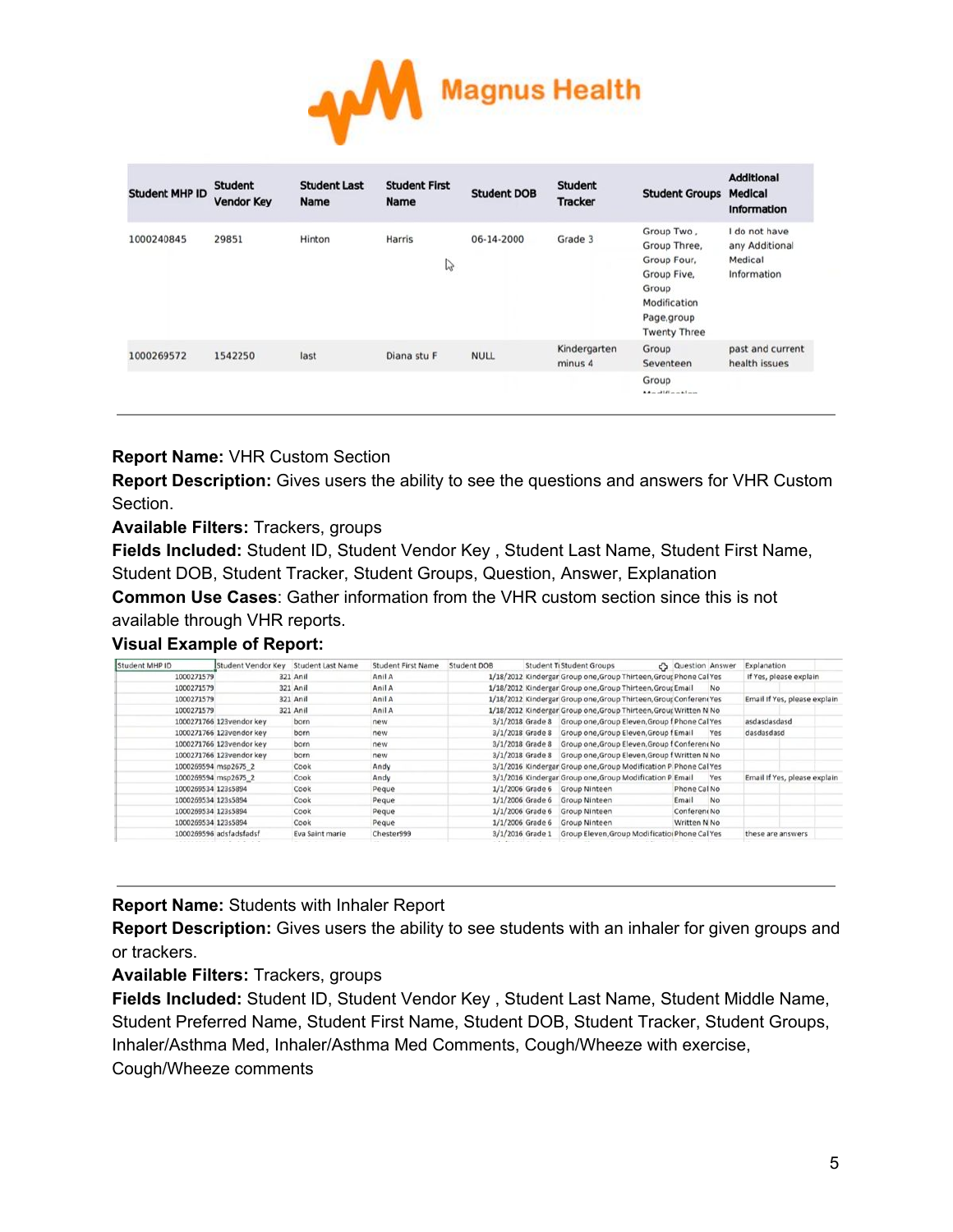

| <b>Student MHP ID</b> | <b>Student</b><br><b>Vendor Key</b> | <b>Student Last</b><br><b>Name</b> | <b>Student First</b><br><b>Name</b> | <b>Student DOB</b> | <b>Student</b><br><b>Tracker</b> | <b>Student Groups</b>                                                                                                   | <b>Additional</b><br><b>Medical</b><br><b>Information</b> |
|-----------------------|-------------------------------------|------------------------------------|-------------------------------------|--------------------|----------------------------------|-------------------------------------------------------------------------------------------------------------------------|-----------------------------------------------------------|
| 1000240845            | 29851                               | Hinton                             | Harris<br>V                         | 06-14-2000         | Grade 3                          | Group Two,<br>Group Three,<br>Group Four,<br>Group Five,<br>Group<br>Modification<br>Page, group<br><b>Twenty Three</b> | I do not have<br>any Additional<br>Medical<br>Information |
| 1000269572            | 1542250                             | last                               | Diana stu F                         | <b>NULL</b>        | Kindergarten<br>minus 4          | Group<br>Seventeen                                                                                                      | past and current<br>health issues                         |
|                       |                                     |                                    |                                     |                    |                                  | Group<br>$M = -110$ and $-10$                                                                                           |                                                           |

## **Report Name:** VHR Custom Section

**Report Description:** Gives users the ability to see the questions and answers for VHR Custom Section.

**Available Filters:** Trackers, groups

**Fields Included:** Student ID, Student Vendor Key , Student Last Name, Student First Name, Student DOB, Student Tracker, Student Groups, Question, Answer, Explanation

**Common Use Cases**: Gather information from the VHR custom section since this is not available through VHR reports.

## **Visual Example of Report:**

| Student MHP ID      | Student Vendor Key Student Last Name |                 | <b>Student First Name</b> | Student DOB        | <b>Student TiStudent Groups</b>                                    | Co Question Answer |           | Explanation       |                              |
|---------------------|--------------------------------------|-----------------|---------------------------|--------------------|--------------------------------------------------------------------|--------------------|-----------|-------------------|------------------------------|
| 1000271579          |                                      | 321 Anil        | Anil A                    |                    | 1/18/2012 Kindergar Group one, Group Thirteen, Group Phone Cal Yes |                    |           |                   | If Yes, please explain       |
| 1000271579          |                                      | 321 Anil        | Anil A                    |                    | 1/18/2012 Kindergar Group one, Group Thirteen, Group Email         |                    | <b>No</b> |                   |                              |
| 1000271579          |                                      | 321 Anil        | Anil A                    |                    | 1/18/2012 Kindergar Group one, Group Thirteen, Group Conferent Yes |                    |           |                   | Email If Yes, please explain |
| 1000271579          |                                      | 321 Anil        | Anil A                    |                    | 1/18/2012 Kindergar Group one, Group Thirteen, Group Written N No  |                    |           |                   |                              |
|                     | 1000271766 123vendor key             | born            | new                       |                    | 3/1/2018 Grade 8 Group one, Group Eleven, Group f Phone Cal Yes    |                    |           | asdasdasdasd      |                              |
|                     | 1000271766 123vendor key             | born            | new                       |                    | 3/1/2018 Grade 8 Group one, Group Eleven, Group f Email            |                    | Yes       | dasdasdasd        |                              |
|                     | 1000271766 123vendor key             | born            | new                       |                    | 3/1/2018 Grade 8 Group one, Group Eleven, Group f Conferent No     |                    |           |                   |                              |
|                     | 1000271766 123vendor key             | born            | new                       |                    | 3/1/2018 Grade 8 Group one, Group Eleven, Group f Written N No     |                    |           |                   |                              |
|                     | 1000269594 msp2675 2                 | Cook            | Andy                      |                    | 3/1/2016 Kindergar Group one, Group Modification P Phone Cal Yes   |                    |           |                   |                              |
|                     | 1000269594 msp2675 2                 | Cook            | Andy                      |                    | 3/1/2016 Kindergar Group one, Group Modification P Email           |                    | Yes       |                   | Email If Yes, please explain |
| 1000269534 123s5894 |                                      | Cook            | Peque                     |                    | 1/1/2006 Grade 6 Group Ninteen                                     | Phone Cal No       |           |                   |                              |
| 1000269534 123s5894 |                                      | Cook            | Peque                     | $1/1/2006$ Grade 6 | <b>Group Ninteen</b>                                               | Email              | No.       |                   |                              |
| 1000269534 123s5894 |                                      | Cook            | Peque                     | $1/1/2006$ Grade 6 | <b>Group Ninteen</b>                                               | Conferent No       |           |                   |                              |
| 1000269534 123s5894 |                                      | Cook            | Peque                     | $1/1/2006$ Grade 6 | Group Ninteen                                                      | Written N No       |           |                   |                              |
|                     | 1000269596 adsfadsfadsf              | Eva Saint marie | Chester999                | 3/1/2016 Grade 1   | Group Eleven, Group Modification Phone Cal Yes                     |                    |           | these are answers |                              |

#### **Report Name:** Students with Inhaler Report

**Report Description:** Gives users the ability to see students with an inhaler for given groups and or trackers.

**Available Filters:** Trackers, groups

**Fields Included:** Student ID, Student Vendor Key , Student Last Name, Student Middle Name, Student Preferred Name, Student First Name, Student DOB, Student Tracker, Student Groups, Inhaler/Asthma Med, Inhaler/Asthma Med Comments, Cough/Wheeze with exercise, Cough/Wheeze comments